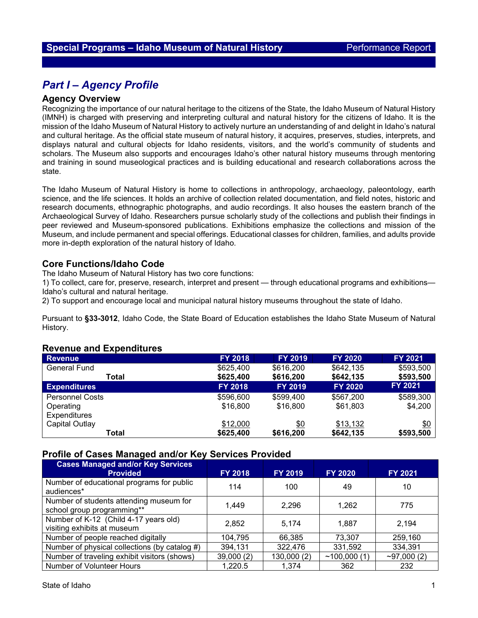# *Part I – Agency Profile*

## **Agency Overview**

Recognizing the importance of our natural heritage to the citizens of the State, the Idaho Museum of Natural History (IMNH) is charged with preserving and interpreting cultural and natural history for the citizens of Idaho. It is the mission of the Idaho Museum of Natural History to actively nurture an understanding of and delight in Idaho's natural and cultural heritage. As the official state museum of natural history, it acquires, preserves, studies, interprets, and displays natural and cultural objects for Idaho residents, visitors, and the world's community of students and scholars. The Museum also supports and encourages Idaho's other natural history museums through mentoring and training in sound museological practices and is building educational and research collaborations across the state.

The Idaho Museum of Natural History is home to collections in anthropology, archaeology, paleontology, earth science, and the life sciences. It holds an archive of collection related documentation, and field notes, historic and research documents, ethnographic photographs, and audio recordings. It also houses the eastern branch of the Archaeological Survey of Idaho. Researchers pursue scholarly study of the collections and publish their findings in peer reviewed and Museum-sponsored publications. Exhibitions emphasize the collections and mission of the Museum, and include permanent and special offerings. Educational classes for children, families, and adults provide more in-depth exploration of the natural history of Idaho.

## **Core Functions/Idaho Code**

The Idaho Museum of Natural History has two core functions:

1) To collect, care for, preserve, research, interpret and present — through educational programs and exhibitions— Idaho's cultural and natural heritage.

2) To support and encourage local and municipal natural history museums throughout the state of Idaho.

Pursuant to **§33-3012**, Idaho Code, the State Board of Education establishes the Idaho State Museum of Natural History.

#### **Revenue and Expenditures**

| <b>Revenue</b>         | <b>FY 2018</b> | <b>FY 2019</b> | <b>FY 2020</b> | FY 2021        |
|------------------------|----------------|----------------|----------------|----------------|
| <b>General Fund</b>    | \$625,400      | \$616,200      | \$642,135      | \$593,500      |
| Total                  | \$625,400      | \$616,200      | \$642,135      | \$593,500      |
| <b>Expenditures</b>    | <b>FY 2018</b> | <b>FY 2019</b> | <b>FY 2020</b> | <b>FY 2021</b> |
| <b>Personnel Costs</b> | \$596,600      | \$599,400      | \$567,200      | \$589,300      |
| Operating              | \$16,800       | \$16,800       | \$61,803       | \$4,200        |
| <b>Expenditures</b>    |                |                |                |                |
| Capital Outlay         | \$12,000       | <u>\$0</u>     | \$13,132       | \$0            |
| Total                  | \$625,400      | \$616,200      | \$642,135      | \$593,500      |

## **Profile of Cases Managed and/or Key Services Provided**

| <b>Cases Managed and/or Key Services</b><br><b>Provided</b>           | <b>FY 2018</b> | <b>FY 2019</b> | <b>FY 2020</b> | <b>FY 2021</b> |
|-----------------------------------------------------------------------|----------------|----------------|----------------|----------------|
| Number of educational programs for public<br>audiences*               | 114            | 100            | 49             | 10             |
| Number of students attending museum for<br>school group programming** | 1.449          | 2,296          | 1,262          | 775            |
| Number of K-12 (Child 4-17 years old)<br>visiting exhibits at museum  | 2.852          | 5.174          | 1.887          | 2,194          |
| Number of people reached digitally                                    | 104,795        | 66,385         | 73,307         | 259,160        |
| Number of physical collections (by catalog #)                         | 394,131        | 322,476        | 331,592        | 334,391        |
| Number of traveling exhibit visitors (shows)                          | 39,000 (2)     | 130,000 (2)    | ~100,000(1)    | ~297,000(2)    |
| Number of Volunteer Hours                                             | 1,220.5        | 1,374          | 362            | 232            |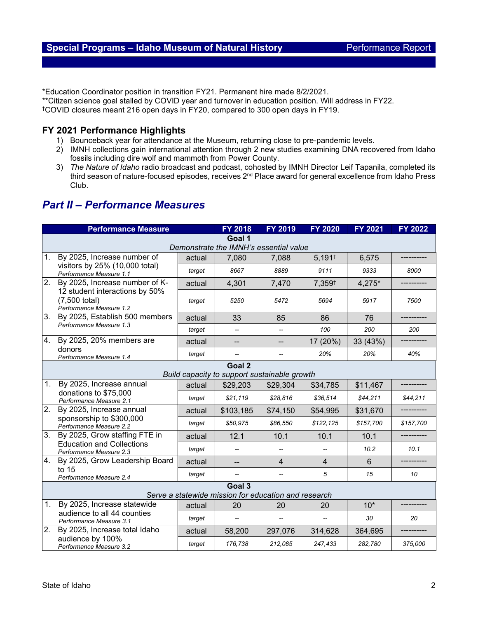\*Education Coordinator position in transition FY21. Permanent hire made 8/2/2021.

\*\*Citizen science goal stalled by COVID year and turnover in education position. Will address in FY22. †COVID closures meant 216 open days in FY20, compared to 300 open days in FY19.

## **FY 2021 Performance Highlights**

- 1) Bounceback year for attendance at the Museum, returning close to pre-pandemic levels.
- 2) IMNH collections gain international attention through 2 new studies examining DNA recovered from Idaho fossils including dire wolf and mammoth from Power County.
- 3) *The Nature of Idaho* radio broadcast and podcast, cohosted by IMNH Director Leif Tapanila, completed its third season of nature-focused episodes, receives 2<sup>nd</sup> Place award for general excellence from Idaho Press Club.

## *Part II – Performance Measures*

|                                                      | <b>Performance Measure</b>                                                                                   |        | <b>FY 2018</b>                               | <b>FY 2019</b>           | <b>FY 2020</b>           | <b>FY 2021</b> | <b>FY 2022</b> |  |  |  |
|------------------------------------------------------|--------------------------------------------------------------------------------------------------------------|--------|----------------------------------------------|--------------------------|--------------------------|----------------|----------------|--|--|--|
| Goal 1                                               |                                                                                                              |        |                                              |                          |                          |                |                |  |  |  |
| Demonstrate the IMNH's essential value               |                                                                                                              |        |                                              |                          |                          |                |                |  |  |  |
| 1.                                                   | By 2025, Increase number of                                                                                  | actual | 7,080                                        | 7,088                    | $5,191$ <sup>t</sup>     | 6,575          |                |  |  |  |
|                                                      | visitors by 25% (10,000 total)<br>Performance Measure 1.1                                                    | target | 8667                                         | 8889                     | 9111                     | 9333           | 8000           |  |  |  |
| $\overline{2}$ .                                     | By 2025, Increase number of K-<br>12 student interactions by 50%<br>(7,500 total)<br>Performance Measure 1.2 | actual | 4,301                                        | 7,470                    | 7,359 <sup>t</sup>       | 4,275*         |                |  |  |  |
|                                                      |                                                                                                              | target | 5250                                         | 5472                     | 5694                     | 5917           | 7500           |  |  |  |
| 3.                                                   | By 2025, Establish 500 members<br>Performance Measure 1.3                                                    | actual | 33                                           | 85                       | 86                       | 76             |                |  |  |  |
|                                                      |                                                                                                              | target | −−                                           | $\overline{\phantom{a}}$ | 100                      | 200            | 200            |  |  |  |
| 4.                                                   | By 2025, 20% members are                                                                                     | actual | $\qquad \qquad -$                            | ÷                        | 17 (20%)                 | 33 (43%)       |                |  |  |  |
|                                                      | donors<br>Performance Measure 1.4                                                                            | target |                                              |                          | 20%                      | 20%            | 40%            |  |  |  |
|                                                      |                                                                                                              |        | Goal 2                                       |                          |                          |                |                |  |  |  |
|                                                      |                                                                                                              |        | Build capacity to support sustainable growth |                          |                          |                |                |  |  |  |
| 1.                                                   | By 2025, Increase annual<br>donations to \$75,000<br>Performance Measure 2.1                                 | actual | \$29,203                                     | \$29,304                 | \$34,785                 | \$11,467       |                |  |  |  |
|                                                      |                                                                                                              | target | \$21,119                                     | \$28,816                 | \$36,514                 | \$44,211       | \$44,211       |  |  |  |
| 2.                                                   | By 2025, Increase annual<br>sponsorship to \$300,000<br>Performance Measure 2.2                              | actual | \$103,185                                    | \$74,150                 | \$54,995                 | \$31,670       |                |  |  |  |
|                                                      |                                                                                                              | target | \$50,975                                     | \$86,550                 | \$122,125                | \$157,700      | \$157,700      |  |  |  |
| 3.                                                   | By 2025, Grow staffing FTE in                                                                                | actual | 12.1                                         | 10.1                     | 10.1                     | 10.1           |                |  |  |  |
|                                                      | <b>Education and Collections</b><br>Performance Measure 2.3                                                  | target |                                              |                          |                          | 10.2           | 10.1           |  |  |  |
| 4.                                                   | By 2025, Grow Leadership Board                                                                               | actual | $\overline{a}$                               | $\overline{4}$           | $\overline{4}$           | 6              |                |  |  |  |
|                                                      | to $15$<br>Performance Measure 2.4                                                                           | target |                                              |                          | 5                        | 15             | 10             |  |  |  |
| Goal 3                                               |                                                                                                              |        |                                              |                          |                          |                |                |  |  |  |
| Serve a statewide mission for education and research |                                                                                                              |        |                                              |                          |                          |                |                |  |  |  |
| 1.                                                   | By 2025, Increase statewide                                                                                  | actual | 20                                           | 20                       | 20                       | $10*$          |                |  |  |  |
|                                                      | audience to all 44 counties<br>Performance Measure 3.1                                                       | target | --                                           | $\overline{\phantom{a}}$ | $\overline{\phantom{a}}$ | 30             | 20             |  |  |  |
| 2.                                                   | By 2025, Increase total Idaho<br>audience by 100%<br>Performance Measure 3.2                                 | actual | 58,200                                       | 297,076                  | 314,628                  | 364,695        |                |  |  |  |
|                                                      |                                                                                                              | target | 176,738                                      | 212,085                  | 247,433                  | 282,780        | 375,000        |  |  |  |